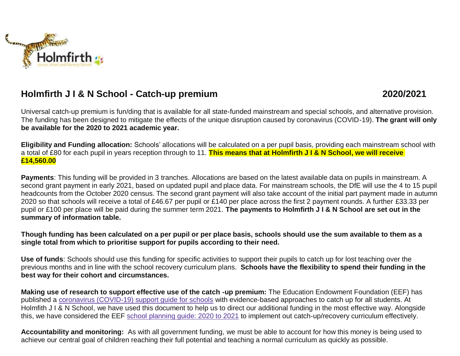

## **Holmfirth J I & N School - Catch-up premium 2020/2021**

Universal catch-up premium is fun/ding that is available for all state-funded mainstream and special schools, and alternative provision. The funding has been designed to mitigate the effects of the unique disruption caused by coronavirus (COVID-19). **The grant will only be available for the 2020 to 2021 academic year.**

**Eligibility and Funding allocation:** Schools' allocations will be calculated on a per pupil basis, providing each mainstream school with a total of £80 for each pupil in years reception through to 11. **This means that at Holmfirth J I & N School, we will receive £14,560.00**

**Payments**: This funding will be provided in 3 tranches. Allocations are based on the latest available data on pupils in mainstream. A second grant payment in early 2021, based on updated pupil and place data. For mainstream schools, the DfE will use the 4 to 15 pupil headcounts from the October 2020 census. The second grant payment will also take account of the initial part payment made in autumn 2020 so that schools will receive a total of £46.67 per pupil or £140 per place across the first 2 payment rounds. A further £33.33 per pupil or £100 per place will be paid during the summer term 2021. **The payments to Holmfirth J I & N School are set out in the summary of information table.**

Though funding has been calculated on a per pupil or per place basis, schools should use the sum available to them as a **single total from which to prioritise support for pupils according to their need.**

**Use of funds**: Schools should use this funding for specific activities to support their pupils to catch up for lost teaching over the previous months and in line with the school recovery curriculum plans. **Schools have the flexibility to spend their funding in the best way for their cohort and circumstances.**

**Making use of research to support effective use of the catch -up premium:** The Education Endowment Foundation (EEF) has published a [coronavirus \(COVID-19\) support guide for schools](https://educationendowmentfoundation.org.uk/covid-19-resources/covid-19-support-guide-for-schools/#nav-covid-19-support-guide-for-schools1) with evidence-based approaches to catch up for all students. At Holmfith J I & N School, we have used this document to help us to direct our additional funding in the most effective way. Alongside this, we have considered the EEF school [planning](https://educationendowmentfoundation.org.uk/covid-19-resources/guide-to-supporting-schools-planning/) guide: 2020 to 2021 to implement out catch-up/recovery curriculum effectively.

**Accountability and monitoring:** As with all government funding, we must be able to account for how this money is being used to achieve our central goal of children reaching their full potential and teaching a normal curriculum as quickly as possible.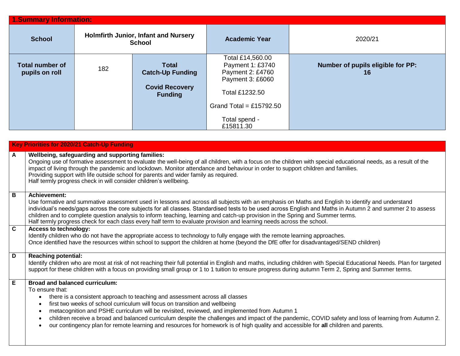| 1.Summary Information:                   |                                                              |                                         |                                                                              |                                         |  |  |  |
|------------------------------------------|--------------------------------------------------------------|-----------------------------------------|------------------------------------------------------------------------------|-----------------------------------------|--|--|--|
| <b>School</b>                            | <b>Holmfirth Junior, Infant and Nursery</b><br><b>School</b> |                                         | <b>Academic Year</b>                                                         | 2020/21                                 |  |  |  |
| <b>Total number of</b><br>pupils on roll | 182                                                          | <b>Total</b><br><b>Catch-Up Funding</b> | Total £14,560.00<br>Payment 1: £3740<br>Payment 2: £4760<br>Payment 3: £6060 | Number of pupils eligible for PP:<br>16 |  |  |  |
|                                          |                                                              | <b>Covid Recovery</b><br><b>Funding</b> | Total £1232.50                                                               |                                         |  |  |  |
|                                          |                                                              |                                         | Grand Total = £15792.50                                                      |                                         |  |  |  |
|                                          |                                                              |                                         | Total spend -<br>£15811.30                                                   |                                         |  |  |  |

|                | Key Priorities for 2020/21 Catch-Up Funding                                                                                                                                                                                                                                                                                                                                                                                                                                                                                                                                                                                                                                     |
|----------------|---------------------------------------------------------------------------------------------------------------------------------------------------------------------------------------------------------------------------------------------------------------------------------------------------------------------------------------------------------------------------------------------------------------------------------------------------------------------------------------------------------------------------------------------------------------------------------------------------------------------------------------------------------------------------------|
| $\mathbf{A}$   | Wellbeing, safeguarding and supporting families:<br>Ongoing use of formative assessment to evaluate the well-being of all children, with a focus on the children with special educational needs, as a result of the<br>impact of living through the pandemic and lockdown. Monitor attendance and behaviour in order to support children and families.<br>Providing support with life outside school for parents and wider family as required.<br>Half termly progress check in will consider children's wellbeing.                                                                                                                                                             |
| $\overline{B}$ | <b>Achievement:</b><br>Use formative and summative assessment used in lessons and across all subjects with an emphasis on Maths and English to identify and understand<br>individual's needs/gaps across the core subjects for all classes. Standardised tests to be used across English and Maths in Autumn 2 and summer 2 to assess<br>children and to complete question analysis to inform teaching, learning and catch-up provision in the Spring and Summer terms.<br>Half termly progress check for each class every half term to evaluate provision and learning needs across the school.                                                                                |
| $\overline{c}$ | <b>Access to technology:</b><br>Identify children who do not have the appropriate access to technology to fully engage with the remote learning approaches.<br>Once identified have the resources within school to support the children at home (beyond the DfE offer for disadvantaged/SEND children)                                                                                                                                                                                                                                                                                                                                                                          |
| $\overline{D}$ | <b>Reaching potential:</b><br>Identify children who are most at risk of not reaching their full potential in English and maths, including children with Special Educational Needs. Plan for targeted<br>support for these children with a focus on providing small group or 1 to 1 tuition to ensure progress during autumn Term 2, Spring and Summer terms.                                                                                                                                                                                                                                                                                                                    |
| E              | <b>Broad and balanced curriculum:</b><br>To ensure that:<br>there is a consistent approach to teaching and assessment across all classes<br>$\bullet$<br>first two weeks of school curriculum will focus on transition and wellbeing<br>$\bullet$<br>metacognition and PSHE curriculum will be revisited, reviewed, and implemented from Autumn 1<br>$\bullet$<br>children receive a broad and balanced curriculum despite the challenges and impact of the pandemic, COVID safety and loss of learning from Autumn 2.<br>$\bullet$<br>our contingency plan for remote learning and resources for homework is of high quality and accessible for all children and parents.<br>٠ |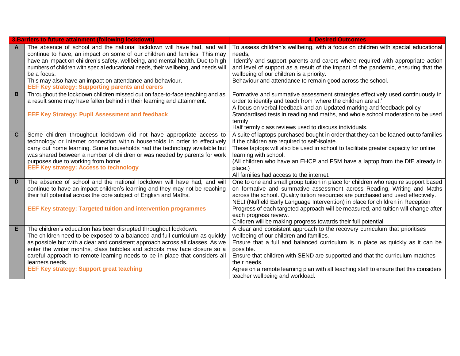|                | 3. Barriers to future attainment (following lockdown)                               | <b>4. Desired Outcomes</b>                                                                                                                                           |
|----------------|-------------------------------------------------------------------------------------|----------------------------------------------------------------------------------------------------------------------------------------------------------------------|
| A              | The absence of school and the national lockdown will have had, and will             | To assess children's wellbeing, with a focus on children with special educational                                                                                    |
|                | continue to have, an impact on some of our children and families. This may          | needs.                                                                                                                                                               |
|                | have an impact on children's safety, wellbeing, and mental health. Due to high      | Identify and support parents and carers where required with appropriate action                                                                                       |
|                | numbers of children with special educational needs, their wellbeing, and needs will | and level of support as a result of the impact of the pandemic, ensuring that the                                                                                    |
|                | be a focus.                                                                         | wellbeing of our children is a priority.                                                                                                                             |
|                | This may also have an impact on attendance and behaviour.                           | Behaviour and attendance to remain good across the school.                                                                                                           |
|                | <b>EEF Key strategy: Supporting parents and carers</b>                              |                                                                                                                                                                      |
| $\overline{B}$ | Throughout the lockdown children missed out on face-to-face teaching and as         | Formative and summative assessment strategies effectively used continuously in                                                                                       |
|                | a result some may have fallen behind in their learning and attainment.              | order to identify and teach from 'where the children are at.'                                                                                                        |
|                |                                                                                     | A focus on verbal feedback and an Updated marking and feedback policy                                                                                                |
|                | <b>EEF Key Strategy: Pupil Assessment and feedback</b>                              | Standardised tests in reading and maths, and whole school moderation to be used                                                                                      |
|                |                                                                                     | termly.                                                                                                                                                              |
|                |                                                                                     | Half termly class reviews used to discuss individuals.                                                                                                               |
| C.             | Some children throughout lockdown did not have appropriate access to                | A suite of laptops purchased bought in order that they can be loaned out to families                                                                                 |
|                | technology or internet connection within households in order to effectively         | if the children are required to self-isolate.                                                                                                                        |
|                | carry out home learning. Some households had the technology available but           | These laptops will also be used in school to facilitate greater capacity for online                                                                                  |
|                | was shared between a number of children or was needed by parents for work           | learning with school.                                                                                                                                                |
|                | purposes due to working from home.<br><b>EEF Key strategy: Access to technology</b> | (All children who have an EHCP and FSM have a laptop from the DfE already in                                                                                         |
|                |                                                                                     | place.)                                                                                                                                                              |
| D              |                                                                                     | All families had access to the internet.                                                                                                                             |
|                | The absence of school and the national lockdown will have had, and will             | One to one and small group tuition in place for children who require support based                                                                                   |
|                | continue to have an impact children's learning and they may not be reaching         | on formative and summative assessment across Reading, Writing and Maths                                                                                              |
|                | their full potential across the core subject of English and Maths.                  | across the school. Quality tuition resources are purchased and used effectively.                                                                                     |
|                | <b>EEF Key strategy: Targeted tuition and intervention programmes</b>               | NELI (Nuffield Early Language Intervention) in place for children in Reception<br>Progress of each targeted approach will be measured, and tuition will change after |
|                |                                                                                     | each progress review.                                                                                                                                                |
|                |                                                                                     | Children will be making progress towards their full potential                                                                                                        |
| E              | The children's education has been disrupted throughout lockdown.                    | A clear and consistent approach to the recovery curriculum that prioritises                                                                                          |
|                | The children need to be exposed to a balanced and full curriculum as quickly        | wellbeing of our children and families.                                                                                                                              |
|                | as possible but with a clear and consistent approach across all classes. As we      | Ensure that a full and balanced curriculum is in place as quickly as it can be                                                                                       |
|                | enter the winter months, class bubbles and schools may face closure so a            | possible.                                                                                                                                                            |
|                | careful approach to remote learning needs to be in place that considers all         | Ensure that children with SEND are supported and that the curriculum matches                                                                                         |
|                | learners needs.                                                                     | their needs.                                                                                                                                                         |
|                | <b>EEF Key strategy: Support great teaching</b>                                     | Agree on a remote learning plan with all teaching staff to ensure that this considers                                                                                |
|                |                                                                                     | teacher wellbeing and workload.                                                                                                                                      |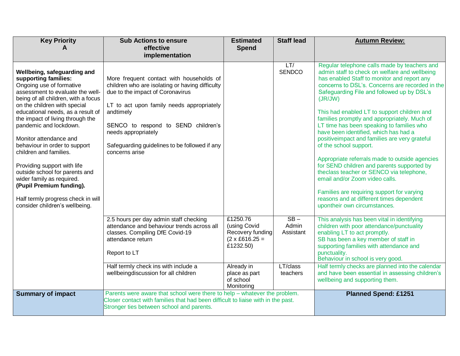| <b>Key Priority</b>                                                                                                                                                                                                                                                                                                                                                                                                                                                                                                                                                                  | <b>Sub Actions to ensure</b><br>effective<br>implementation                                                                                                                                                                                                                                                                | <b>Estimated</b><br><b>Spend</b>                                                                | <b>Staff lead</b>            | <b>Autumn Review:</b>                                                                                                                                                                                                                                                                                                                                                                                                                                                                                                                                                                                                                                                                                                                                                                                                            |
|--------------------------------------------------------------------------------------------------------------------------------------------------------------------------------------------------------------------------------------------------------------------------------------------------------------------------------------------------------------------------------------------------------------------------------------------------------------------------------------------------------------------------------------------------------------------------------------|----------------------------------------------------------------------------------------------------------------------------------------------------------------------------------------------------------------------------------------------------------------------------------------------------------------------------|-------------------------------------------------------------------------------------------------|------------------------------|----------------------------------------------------------------------------------------------------------------------------------------------------------------------------------------------------------------------------------------------------------------------------------------------------------------------------------------------------------------------------------------------------------------------------------------------------------------------------------------------------------------------------------------------------------------------------------------------------------------------------------------------------------------------------------------------------------------------------------------------------------------------------------------------------------------------------------|
| Wellbeing, safeguarding and<br>supporting families:<br>Ongoing use of formative<br>assessment to evaluate the well-<br>being of all children, with a focus<br>on the children with special<br>educational needs, as a result of<br>the impact of living through the<br>pandemic and lockdown.<br>Monitor attendance and<br>behaviour in order to support<br>children and families.<br>Providing support with life<br>outside school for parents and<br>wider family as required.<br>(Pupil Premium funding).<br>Half termly progress check in will<br>consider children's wellbeing. | More frequent contact with households of<br>children who are isolating or having difficulty<br>due to the impact of Coronavirus<br>LT to act upon family needs appropriately<br>andtimely<br>SENCO to respond to SEND children's<br>needs appropriately<br>Safeguarding guidelines to be followed if any<br>concerns arise |                                                                                                 | LT/<br><b>SENDCO</b>         | Regular telephone calls made by teachers and<br>admin staff to check on welfare and wellbeing<br>has enabled Staff to monitor and report any<br>concerns to DSL's. Concerns are recorded in the<br>Safeguarding File and followed up by DSL's<br>(JR/JW)<br>This had enabled LT to support children and<br>families promptly and appropriately. Much of<br>LT time has been speaking to families who<br>have been identified, which has had a<br>positiveimpact and families are very grateful<br>of the school support.<br>Appropriate referrals made to outside agencies<br>for SEND children and parents supported by<br>theclass teacher or SENCO via telephone,<br>email and/or Zoom video calls.<br>Families are requiring support for varying<br>reasons and at different times dependent<br>upontheir own circumstances. |
|                                                                                                                                                                                                                                                                                                                                                                                                                                                                                                                                                                                      | 2.5 hours per day admin staff checking<br>attendance and behaviour trends across all<br>classes. Compiling DfE Covid-19<br>attendance return<br>Report to LT                                                                                                                                                               | £1250.76<br>(using Covid<br>Recovery funding<br>$(2 \times \text{\pounds}616.25 =$<br>£1232.50) | $SB -$<br>Admin<br>Assistant | This analysis has been vital in identifying<br>children with poor attendance/punctuality<br>enabling LT to act promptly.<br>SB has been a key member of staff in<br>supporting families with attendance and<br>punctuality.<br>Behaviour in school is very good.                                                                                                                                                                                                                                                                                                                                                                                                                                                                                                                                                                 |
|                                                                                                                                                                                                                                                                                                                                                                                                                                                                                                                                                                                      | Half termly check ins with include a<br>wellbeingdiscussion for all children                                                                                                                                                                                                                                               | Already in<br>place as part<br>of school<br>Monitoring                                          | LT/class<br>teachers         | Half termly checks are planned into the calendar<br>and have been essential in assessing children's<br>wellbeing and supporting them.                                                                                                                                                                                                                                                                                                                                                                                                                                                                                                                                                                                                                                                                                            |
| <b>Summary of impact</b>                                                                                                                                                                                                                                                                                                                                                                                                                                                                                                                                                             | Parents were aware that school were there to help - whatever the problem.<br>Closer contact with families that had been difficult to liaise with in the past.<br>Stronger ties between school and parents.                                                                                                                 |                                                                                                 |                              | <b>Planned Spend: £1251</b>                                                                                                                                                                                                                                                                                                                                                                                                                                                                                                                                                                                                                                                                                                                                                                                                      |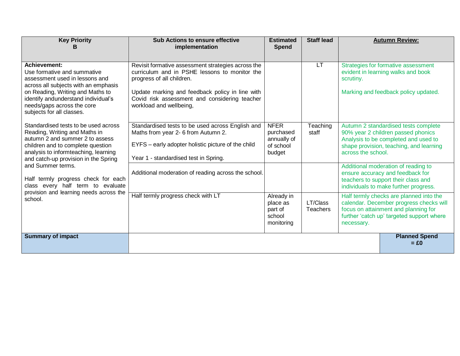| <b>Key Priority</b><br>в                                                                                                                                                                                                      | <b>Sub Actions to ensure effective</b><br>implementation                                                                                                                               | <b>Estimated</b><br>Spend                                      | <b>Staff lead</b>    |                                                                                                                                                                                       | <b>Autumn Review:</b>                                                                                                                                         |
|-------------------------------------------------------------------------------------------------------------------------------------------------------------------------------------------------------------------------------|----------------------------------------------------------------------------------------------------------------------------------------------------------------------------------------|----------------------------------------------------------------|----------------------|---------------------------------------------------------------------------------------------------------------------------------------------------------------------------------------|---------------------------------------------------------------------------------------------------------------------------------------------------------------|
| <b>Achievement:</b><br>Use formative and summative<br>assessment used in lessons and                                                                                                                                          | Revisit formative assessment strategies across the<br>curriculum and in PSHE lessons to monitor the<br>progress of all children.                                                       |                                                                | LT                   | scrutiny.                                                                                                                                                                             | Strategies for formative assessment<br>evident in learning walks and book                                                                                     |
| across all subjects with an emphasis<br>on Reading, Writing and Maths to<br>identify andunderstand individual's<br>needs/gaps across the core<br>subjects for all classes.                                                    | Update marking and feedback policy in line with<br>Covid risk assessment and considering teacher<br>workload and wellbeing,                                                            |                                                                |                      |                                                                                                                                                                                       | Marking and feedback policy updated.                                                                                                                          |
| Standardised tests to be used across<br>Reading, Writing and Maths in<br>autumn 2 and summer 2 to assess<br>children and to complete question<br>analysis to informteaching, learning<br>and catch-up provision in the Spring | Standardised tests to be used across English and<br>Maths from year 2- 6 from Autumn 2.<br>EYFS - early adopter holistic picture of the child<br>Year 1 - standardised test in Spring. | <b>NFER</b><br>purchased<br>annually of<br>of school<br>budget | Teaching<br>staff    | across the school.                                                                                                                                                                    | Autumn 2 standardised tests complete<br>90% year 2 children passed phonics<br>Analysis to be completed and used to<br>shape provision, teaching, and learning |
| and Summer terms.<br>Half termly progress check for each<br>class every half term to evaluate<br>provision and learning needs across the<br>school.                                                                           | Additional moderation of reading across the school.                                                                                                                                    |                                                                |                      |                                                                                                                                                                                       | Additional moderation of reading to<br>ensure accuracy and feedback for<br>teachers to support their class and<br>individuals to make further progress.       |
|                                                                                                                                                                                                                               | Half termly progress check with LT                                                                                                                                                     | Already in<br>place as<br>part of<br>school<br>monitoring      | LT/Class<br>Teachers | Half termly checks are planned into the<br>calendar. December progress checks will<br>focus on attainment and planning for<br>further 'catch up' targeted support where<br>necessary. |                                                                                                                                                               |
| <b>Summary of impact</b>                                                                                                                                                                                                      |                                                                                                                                                                                        |                                                                |                      |                                                                                                                                                                                       | <b>Planned Spend</b><br>$= £0$                                                                                                                                |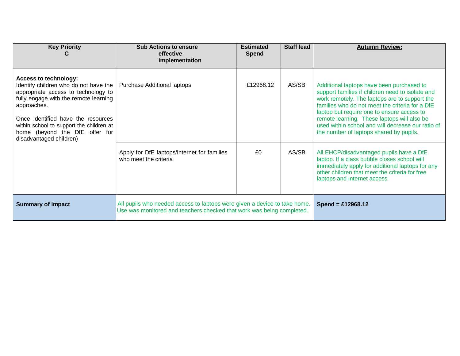| <b>Key Priority</b>                                                                                                                                                                                                                                                                                                 | <b>Sub Actions to ensure</b><br>effective<br>implementation                                                                                        | <b>Estimated</b><br><b>Spend</b> | <b>Staff lead</b> | <b>Autumn Review:</b>                                                                                                                                                                                                                                                                                                                                                                          |
|---------------------------------------------------------------------------------------------------------------------------------------------------------------------------------------------------------------------------------------------------------------------------------------------------------------------|----------------------------------------------------------------------------------------------------------------------------------------------------|----------------------------------|-------------------|------------------------------------------------------------------------------------------------------------------------------------------------------------------------------------------------------------------------------------------------------------------------------------------------------------------------------------------------------------------------------------------------|
| <b>Access to technology:</b><br>Identify children who do not have the<br>appropriate access to technology to<br>fully engage with the remote learning<br>approaches.<br>Once identified have the resources<br>within school to support the children at<br>home (beyond the DfE offer for<br>disadvantaged children) | <b>Purchase Additional laptops</b>                                                                                                                 | £12968.12                        | AS/SB             | Additional laptops have been purchased to<br>support families if children need to isolate and<br>work remotely. The laptops are to support the<br>families who do not meet the criteria for a DfE<br>laptop but require one to ensure access to<br>remote learning. These laptops will also be<br>used within school and will decrease our ratio of<br>the number of laptops shared by pupils. |
|                                                                                                                                                                                                                                                                                                                     | Apply for DfE laptops/internet for families<br>who meet the criteria                                                                               | £0                               | AS/SB             | All EHCP/disadvantaged pupils have a DfE<br>laptop. If a class bubble closes school will<br>immediately apply for additional laptops for any<br>other children that meet the criteria for free<br>laptops and internet access.                                                                                                                                                                 |
| <b>Summary of impact</b>                                                                                                                                                                                                                                                                                            | All pupils who needed access to laptops were given a device to take home.<br>Use was monitored and teachers checked that work was being completed. |                                  |                   | Spend = £12968.12                                                                                                                                                                                                                                                                                                                                                                              |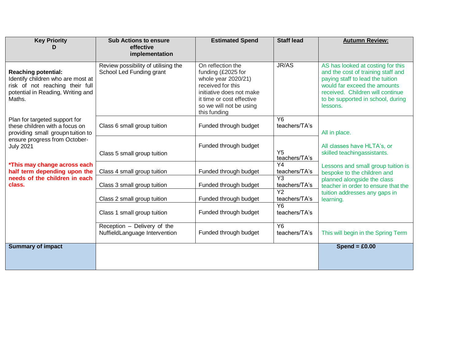| <b>Key Priority</b>                                                                                                                               | <b>Sub Actions to ensure</b><br>effective                       | <b>Estimated Spend</b>                                                                                                                                                                  | <b>Staff lead</b>                | <b>Autumn Review:</b>                                                                                                                                                                                                            |
|---------------------------------------------------------------------------------------------------------------------------------------------------|-----------------------------------------------------------------|-----------------------------------------------------------------------------------------------------------------------------------------------------------------------------------------|----------------------------------|----------------------------------------------------------------------------------------------------------------------------------------------------------------------------------------------------------------------------------|
|                                                                                                                                                   | implementation                                                  |                                                                                                                                                                                         |                                  |                                                                                                                                                                                                                                  |
| <b>Reaching potential:</b><br>Identify children who are most at<br>risk of not reaching their full<br>potential in Reading, Writing and<br>Maths. | Review possibility of utilising the<br>School Led Funding grant | On reflection the<br>funding (£2025 for<br>whole year 2020/21)<br>received for this<br>initiative does not make<br>it time or cost effective<br>so we will not be using<br>this funding | JR/AS                            | AS has looked at costing for this<br>and the cost of training staff and<br>paying staff to lead the tuition<br>would far exceed the amounts<br>received. Children will continue<br>to be supported in school, during<br>lessons. |
| Plan for targeted support for<br>these children with a focus on<br>providing small groupn tuition to                                              | Class 6 small group tuition                                     | Funded through budget                                                                                                                                                                   | $\overline{Y6}$<br>teachers/TA's | All in place.                                                                                                                                                                                                                    |
| ensure progress from October-<br><b>July 2021</b>                                                                                                 | Class 5 small group tuition                                     | Funded through budget                                                                                                                                                                   | Y <sub>5</sub><br>teachers/TA's  | All classes have HLTA's, or<br>skilled teachingassistants.                                                                                                                                                                       |
| *This may change across each<br>half term depending upon the<br>needs of the children in each<br>class.                                           | Class 4 small group tuition                                     | Funded through budget                                                                                                                                                                   | $\overline{Y4}$<br>teachers/TA's | Lessons and small group tuition is<br>bespoke to the children and                                                                                                                                                                |
|                                                                                                                                                   | Class 3 small group tuition                                     | Funded through budget                                                                                                                                                                   | $\overline{Y3}$<br>teachers/TA's | planned alongside the class<br>teacher in order to ensure that the                                                                                                                                                               |
|                                                                                                                                                   | Class 2 small group tuition                                     | Funded through budget                                                                                                                                                                   | $\overline{Y2}$<br>teachers/TA's | tuition addresses any gaps in<br>learning.                                                                                                                                                                                       |
|                                                                                                                                                   | Class 1 small group tuition                                     | Funded through budget                                                                                                                                                                   | <b>Y6</b><br>teachers/TA's       |                                                                                                                                                                                                                                  |
|                                                                                                                                                   | Reception - Delivery of the<br>NuffieldLanguage Intervention    | Funded through budget                                                                                                                                                                   | $\overline{Y6}$<br>teachers/TA's | This will begin in the Spring Term                                                                                                                                                                                               |
| <b>Summary of impact</b>                                                                                                                          |                                                                 |                                                                                                                                                                                         |                                  | Spend = $£0.00$                                                                                                                                                                                                                  |
|                                                                                                                                                   |                                                                 |                                                                                                                                                                                         |                                  |                                                                                                                                                                                                                                  |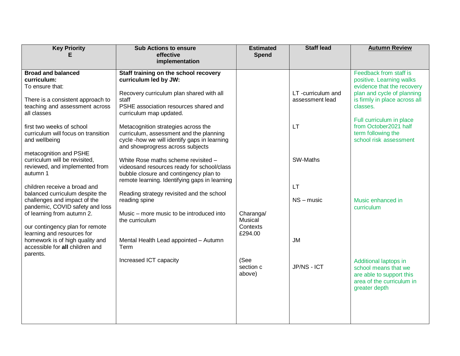| <b>Key Priority</b>                                             | <b>Sub Actions to ensure</b><br>effective                                              | <b>Estimated</b><br><b>Spend</b> | <b>Staff lead</b>                     | <b>Autumn Review</b>                                        |
|-----------------------------------------------------------------|----------------------------------------------------------------------------------------|----------------------------------|---------------------------------------|-------------------------------------------------------------|
|                                                                 | implementation                                                                         |                                  |                                       |                                                             |
| <b>Broad and balanced</b>                                       | Staff training on the school recovery                                                  |                                  |                                       | Feedback from staff is                                      |
| curriculum:<br>To ensure that:                                  | curriculum led by JW:                                                                  |                                  |                                       | positive. Learning walks<br>evidence that the recovery      |
| There is a consistent approach to                               | Recovery curriculum plan shared with all<br>staff                                      |                                  | LT -curriculum and<br>assessment lead | plan and cycle of planning<br>is firmly in place across all |
| teaching and assessment across                                  | PSHE association resources shared and                                                  |                                  |                                       | classes.                                                    |
| all classes                                                     | curriculum map updated.                                                                |                                  |                                       | Full curriculum in place                                    |
| first two weeks of school                                       | Metacognition strategies across the                                                    |                                  | <b>LT</b>                             | from October2021 half                                       |
| curriculum will focus on transition<br>and wellbeing            | curriculum, assessment and the planning<br>cycle-how we will identify gaps in learning |                                  |                                       | term following the<br>school risk assessment                |
| metacognition and PSHE                                          | and showprogress across subjects                                                       |                                  |                                       |                                                             |
| curriculum will be revisited,                                   | White Rose maths scheme revisited -                                                    |                                  | SW-Maths                              |                                                             |
| reviewed, and implemented from<br>autumn 1                      | videosand resources ready for school/class<br>bubble closure and contingency plan to   |                                  |                                       |                                                             |
|                                                                 | remote learning. Identifying gaps in learning                                          |                                  |                                       |                                                             |
| children receive a broad and<br>balanced curriculum despite the | Reading strategy revisited and the school                                              |                                  | LT                                    |                                                             |
| challenges and impact of the<br>pandemic, COVID safety and loss | reading spine                                                                          |                                  | $NS - music$                          | Music enhanced in<br>curriculum                             |
| of learning from autumn 2.                                      | Music – more music to be introduced into                                               | Charanga/                        |                                       |                                                             |
| our contingency plan for remote                                 | the curriculum                                                                         | Musical<br>Contexts              |                                       |                                                             |
| learning and resources for<br>homework is of high quality and   | Mental Health Lead appointed - Autumn                                                  | £294.00                          | <b>JM</b>                             |                                                             |
| accessible for all children and                                 | Term                                                                                   |                                  |                                       |                                                             |
| parents.                                                        | Increased ICT capacity                                                                 | (See                             |                                       | Additional laptops in                                       |
|                                                                 |                                                                                        | section c                        | JP/NS - ICT                           | school means that we                                        |
|                                                                 |                                                                                        | above)                           |                                       | are able to support this<br>area of the curriculum in       |
|                                                                 |                                                                                        |                                  |                                       | greater depth                                               |
|                                                                 |                                                                                        |                                  |                                       |                                                             |
|                                                                 |                                                                                        |                                  |                                       |                                                             |
|                                                                 |                                                                                        |                                  |                                       |                                                             |